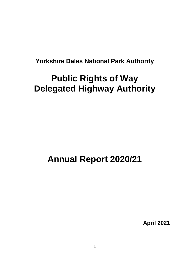# **Yorkshire Dales National Park Authority**

# **Public Rights of Way Delegated Highway Authority**

# **Annual Report 2020/21**

**April 2021**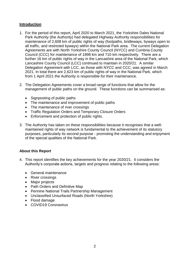# **Introduction**

- 1. For the period of this report, April 2020 to March 2021, the Yorkshire Dales National Park Authority (the Authority) had delegated Highway Authority responsibilities for maintenance of 2,608 km of public rights of way (footpaths, bridleways, byways open to all traffic, and restricted byways) within the National Park area. The current Delegation Agreements are with North Yorkshire County Council (NYCC) and Cumbria County Council (CCC) for maintenance of 1898 km and 710 km respectively. There are a further 16 km of public rights of way in the Lancashire area of the National Park, which Lancashire County Council (LCC) continued to maintain in 2020/21. A similar Delegation Agreement with LCC, as those with NYCC and CCC, was agreed in March 2021. In total there are 2,623 km of public rights of way in the National Park, which from 1 April 2021 the Authority is responsible for their maintenance.
- 2. The Delegation Agreements cover a broad range of functions that allow for the management of public paths on the ground. These functions can be summarised as:
	- Signposting of public paths
	- The maintenance and improvement of public paths
	- The maintenance of river crossings
	- Traffic Regulation Orders and Temporary Closure Orders
	- Enforcement and protection of public rights.
- 3. The Authority has taken on these responsibilities because it recognises that a wellmaintained rights of way network is fundamental to the achievement of its statutory purposes, particularly its second purpose - promoting the understanding and enjoyment of the special qualities of the National Park.

# **About this Report**

- 4. This report identifies the key achievements for the year 2020/21. It considers the Authority's corporate actions, targets and progress relating to the following areas:
	- General maintenance
	- River crossings
	- Major projects
	- Path Orders and Definitive Map
	- Pennine National Trails Partnership Management
	- Unclassified Unsurfaced Roads (North Yorkshire)
	- Flood damage
	- COVID19 Coronavirus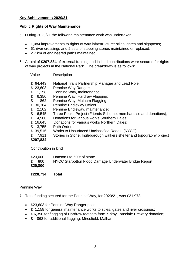#### **Key Achievements 2020/21**

#### **Public Rights of Way Maintenance**

- 5. During 2020/21 the following maintenance work was undertaken:
	- 1,084 improvements to rights of way infrastructure: stiles, gates and signposts;
	- 61 river crossings and 2 sets of stepping stones maintained or replaced;
	- 2.7 km of engineered paths maintained;
- 6. A total of **£207,834** of external funding and in kind contributions were secured for rights of way projects in the National Park. The breakdown is as follows:

| Value                                                                                                                                     | Description                                                                                                                                                                                                                                                                                                                                                                                                                  |
|-------------------------------------------------------------------------------------------------------------------------------------------|------------------------------------------------------------------------------------------------------------------------------------------------------------------------------------------------------------------------------------------------------------------------------------------------------------------------------------------------------------------------------------------------------------------------------|
| £ 64,443<br>£ 23,603<br>1,158<br>£<br>£<br>6,350<br>£<br>862<br>£ 30,384<br>2,102<br>£<br>£<br>6,545<br>£<br>4,560<br>£ 16,645<br>£ 3,755 | National Trails Partnership Manager and Lead Role;<br>Pennine Way Ranger;<br>Pennine Way, maintenance;<br>Pennine Way, Hardraw Flagging;<br>Pennine Way, Malham Flagging;<br>Pennine Bridleway Officer;<br>Pennine Bridleway, maintenance;<br>Three Peaks Project (Friends Scheme, merchandise and donations);<br>Donations for various works Southern Dales;<br>Donations for various works Northern Dales;<br>Path Orders; |
| £ 39,516<br>£ 7,911<br>£207,834                                                                                                           | Works to Unsurfaced Unclassified Roads, (NYCC);<br>Stories in Stone, Ingleborough walkers shelter and topography project                                                                                                                                                                                                                                                                                                     |
|                                                                                                                                           |                                                                                                                                                                                                                                                                                                                                                                                                                              |

Contribution in kind

| £ 800   | NYCC Starbotton Flood Damage Underwater Bridge Report |
|---------|-------------------------------------------------------|
| £20,800 |                                                       |

**£228,734 Total**

#### Pennine Way

- 7. Total funding secured for the Pennine Way, for 2020/21, was £31,973:
	- £23,603 for Pennine Way Ranger post;
	- £ 1,158 for general maintenance works to stiles, gates and river crossings;
	- £ 6,350 for flagging of Hardraw footpath from Kirkby Lonsdale Brewery donation;
	- £ 862 for additional flagging, Miresfield, Malham.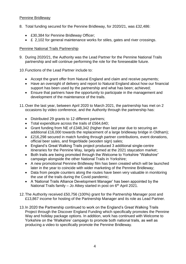# Pennine Bridleway

- 8. Total funding secured for the Pennine Bridleway, for 2020/21, was £32,486:
	- £30,384 for Pennine Bridleway Officer;
	- £ 2,102 for general maintenance works for stiles, gates and river crossings.

#### Pennine National Trails Partnership

9. During 2020/21, the Authority was the Lead Partner for the Pennine National Trails partnership and will continue performing the role for the foreseeable future.

10.Functions of the Lead Partner include to:

- Accept the grant offer from Natural England and claim and receive payments;
- Have an oversight of delivery and report to Natural England about how our financial support has been used by the partnership and what has been; achieved;
- Ensure that partners have the opportunity to participate in the management and development of the maintenance of the trails.
- 11.Over the last year, between April 2020 to March 2021, the partnership has met on 2 occasions by video conference, and the Authority through the partnership has:
	- Distributed 29 grants to 12 different partners;
	- Total expenditure across the trails of £564,640;
	- Grant funding from NE of £348,342 (higher than last year due to securing an additional £16,000 towards the replacement of a large bridleway bridge in Oldham);
	- £216,298 secured in match funding through partner contributions, event donations, official beer sales, and fingerblade (wooden sign) sales;
	- England's Great Walking Trails project produced 3 additional single-centre itineraries for the Pennine Way, largely aimed at the 2021 staycation market;
	- Both trails are being promoted through the Welcome to Yorkshire "Walkshire" campaign alongside the other National Trails in Yorkshire;
	- A new promotional Pennine Bridleway film has been created which will be launched later in the year to coincide with wider marketing of the Pennine Bridleway;
	- Data from people counters along the routes have been very valuable in monitoring the use of the trails during the Covid pandemic;
	- A 'National Trails Alliance Development Manager' has been appointed by the National Trails family – Jo Atkey started in post on 6<sup>th</sup> April 2021.
- 12.The Authority received £50,756 (100%) grant for the Partnership Manager post and £13,867 income for hosting of the Partnership Manager and its role as Lead Partner.
- 13.In 2020 the Partnership continued to work on the England's Great Walking Trails Project through the Discover England Funding which specifically promotes the Pennine Way and holiday package options. In addition, work has continued with Welcome to Yorkshire on the 'Walkshire' campaign to promote both national trails, as well as producing a video to specifically promote the Pennine Bridleway.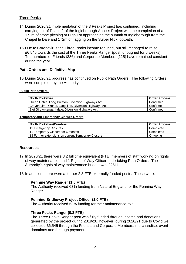#### Three Peaks

- 14.During 2020/21 implementation of the 3 Peaks Project has continued, including carrying out of Phase 2 of the Ingleborough Access Project with the completion of a 172m of stone pitching at High Lot approaching the summit of Ingleborough from the Chapel le Dale and 172m of flagging on the Sulber Nick footpath.
- 15.Due to Coronavirus the Three Peaks income reduced, but still managed to raise £6,545 towards the cost of the Three Peaks Ranger (post furloughed for 6 weeks). The numbers of Friends (386) and Corporate Members (115) have remained constant during the year.

#### **Path Orders and Definitive Map**

16.During 2020/21 progress has continued on Public Path Orders. The following Orders were completed by the Authority:

#### **Public Path Orders:**

| <b>North Yorkshire</b>                                | <b>Order Process</b> |
|-------------------------------------------------------|----------------------|
| Green Gates, Long Preston, Diversion Highways Act     | Confirmed            |
| Craven Lime Works, Langcliffe, Diversion Highways Act | Confirmed            |
| Slei Gill, Arkengarthdale, Diversion Highways Act     | Confirmed            |

#### **Temporary and Emergency Closure Orders**

| <b>North Yorkshire/Cumbria</b>                     | l Order Process |
|----------------------------------------------------|-----------------|
| 11 Emergency Closures                              | Completed       |
| 11 Temporary Closure for 6 months                  | Completed       |
| 13 Further extensions on current Temporary Closure | On-going        |

#### **Resources**

- 17.In 2020/21 there were 8.2 full time equivalent (FTE) members of staff working on rights of way maintenance, and 1 Rights of Way Officer undertaking Path Orders. The Authority's rights of way maintenance budget was £261k.
- 18.In addition, there were a further 2.8 FTE externally funded posts. These were:

#### **Pennine Way Ranger (1.0 FTE)**

The Authority received 63% funding from Natural England for the Pennine Way Ranger.

#### **Pennine Bridleway Project Officer (1.0 FTE)**

The Authority received 63% funding for their maintenance role.

#### **Three Peaks Ranger (0.8 FTE)**

The Three Peaks Ranger post was fully funded through income and donations generated by the project during 2019/20, however, during 2020/21 due to Covid we collected £6,545 through the Friends and Corporate Members, merchandise, event donations and furlough payment.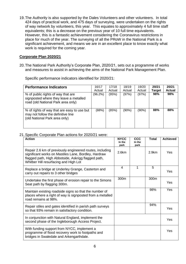19.The Authority is also supported by the Dales Volunteers and other volunteers. In total 424 days of practical work, and 475 days of surveying, were undertaken on the rights of way network by volunteers, this year. This equates to approximately 4 full time staff equivalents; this is a decrease on the previous year of 10 full time equivalents. However, this is a fantastic achievement considering the Coronavirus restrictions in place for much of the year. The surveying of all the PRoW in the National Park is a significant achievement, and means we are in an excellent place to know exactly what work is required for the coming year.

#### **Corporate Plan 2020/21**

20.The National Park Authority's Corporate Plan, 2020/21, sets out a programme of works and measures to assist in achieving the aims of the National Park Management Plan.

Specific performance indicators identified for 2020/21:

| <b>Performance Indicators</b>                                                                                      | 16/17<br>Actual | 17/18<br>Actual | 18/19<br>Actual | 19/20<br>Actual | 20/21<br><b>Target</b> | 20/21<br><b>Actual</b> |
|--------------------------------------------------------------------------------------------------------------------|-----------------|-----------------|-----------------|-----------------|------------------------|------------------------|
| % of public rights of way that are<br>signposted where they leave a metalled<br>road (old National Park area only) | $(96.2\%)$      | (95%)           | (97%)           | (97%)           | 98%                    | 98%                    |
| % of rights of way that are easy to use but<br>may not follow the definitive line<br>(old National Park area only) | (88%)           | (85%)           | (90%)           | (90%)           | 88%                    | 88%                    |

#### 21.Specific Corporate Plan actions for 2020/21 were:

| <b>Action</b>                                                                                                                                                                                                    | <b>NYCC</b><br>In the<br>park | CCC<br>In the<br>park | <b>Total</b> | <b>Achieved</b> |
|------------------------------------------------------------------------------------------------------------------------------------------------------------------------------------------------------------------|-------------------------------|-----------------------|--------------|-----------------|
| Repair 2.6 km of previously engineered routes, including<br>significant works on Mastiles Lane, Bordley, Hardraw<br>flagged path, High Abbotside, Askrigg flagged path,<br>Whitber Hill resurfacing and High Lot | 2.6km                         |                       | 2.9km        | Yes             |
| Replace a bridge at Underley Grange, Casterton and<br>carry out repairs to 3 other bridges                                                                                                                       | $\overline{4}$                | 1                     | 5            | Yes             |
| Undertake the first phase of erosion repair to the Simons<br>Seat path by flagging 300m.                                                                                                                         | 300m                          |                       | 300m         | Yes             |
| Maintain existing roadside signs so that the number of<br>places where a right of way is signposted from a metalled<br>road remains at 98%.                                                                      |                               |                       | 98%          | Yes             |
| Repair stiles and gates identified in parish path surveys<br>so that 93% remain in satisfactory condition.                                                                                                       |                               |                       | 94%          | Yes             |
| In conjunction with Natural England, implement the<br>second phase of the Ingleborough Access Project.                                                                                                           |                               |                       |              | Yes             |
| With funding support from NYCC, implement a<br>programme of flood recovery work to footpaths and<br>bridges in Swaledale and Arkengarthdale.                                                                     |                               |                       |              | Yes             |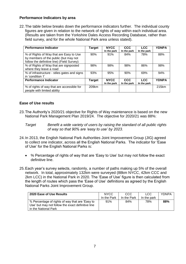# **Performance Indicators by area**

22.The table below breaks down the performance indicators further. The individual county figures are given in relation to the network of rights of way within each individual area. (Results are taken from the Yorkshire Dales Access Recording Database, rather than field survey, and for the whole National Park area unless stated).

| <b>Performance Indicator</b>                                                                                                   | Target | <b>NYCC</b><br>In the park | <b>CCC</b><br>In the park | <b>LCC</b><br>In the park | <b>YDNPA</b> |
|--------------------------------------------------------------------------------------------------------------------------------|--------|----------------------------|---------------------------|---------------------------|--------------|
| % of Rights of Way that are Easy to Use<br>by members of the public (but may not<br>follow the definitive line) (Field Survey) | 90%    | 91%                        | 84%                       | 78%                       | 88%          |
| % of Rights of Way that are signposted<br>where they leave a road                                                              | 98%    | 98%                        | 98%                       | 86%                       | 98%          |
| % of infrastructure - stiles gates and signs<br>in 'condition 1'                                                               | 93%    | 95%                        | 90%                       | 69%                       | 94%          |
| <b>Performance Indicator</b>                                                                                                   | Target | <b>NYCC</b><br>In the park | <b>CCC</b><br>In the park | <b>LCC</b><br>In the park | <b>YDNPA</b> |
| % of rights of way that are accessible for<br>people with limited ability                                                      | 209km  |                            |                           |                           | 215km        |

#### **Ease of Use results**

- 23.The Authority's 2020/21 objective for Rights of Way maintenance is based on the new National Park Management Plan 2019/24. The objective for 2020/21 was 88%:
	- *Target Benefit a wide variety of users by raising the standard of all public rights of way so that 90% are 'easy to use' by 2023.*
- 24.In 2013, the English National Park Authorities Joint Improvement Group (JIG) agreed to collect one indicator, across all the English National Parks. The indicator for 'Ease of Use' for the English National Parks is:
	- % Percentage of rights of way that are 'Easy to Use' but may not follow the exact definitive line.
- 25.Each year's survey selects, randomly, a number of paths making up 5% of the overall network. In total, approximately 132km were surveyed (88km NYCC, 42km CCC and 2km LCC) in the National Park in 2020. The 'Ease of Use' figure is then calculated from the length of routes which pass the 'Ease of Use' definitions as agreed by the English National Parks Joint Improvement Group.

| 2020 Ease of Use Results                                                                                                     | <b>NYCC</b><br>In the Park | CCC<br>In the Park | LCC<br>In the park | YDNPA |
|------------------------------------------------------------------------------------------------------------------------------|----------------------------|--------------------|--------------------|-------|
| % Percentage of rights of way that are 'Easy to<br>Use' but may not follow the exact definitive line<br>in the National Park | 91%                        | 84%                | 78%                | 88%   |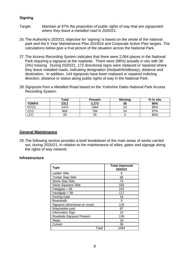### **Signing**

*Target. Maintain at 97% the proportion of public rights of way that are signposted where they leave a metalled road in 2020/21.*

- 26.The Authority's 2020/21 objective for 'signing' is based on the whole of the national park and the 5 Year Maintenance Plan 2019/24 and Corporate Action Plan targets. The calculations below give a true picture of the situation across the National Park.
- 27.The Access Recording System indicates that there were 2,064 places in the National Park requiring a signpost at the roadside. There were (98%) actually in situ with 38 (2%) missing. During 2020/21, 172 directional signs were replaced or repaired where they leave metalled roads, indicating designation (footpath/bridleway), distance and destination. In addition, 144 signposts have been replaced or repaired indicting direction, distance or status along public rights of way in the National Park.
- 28.Signposts from a Metalled Road based on the Yorkshire Dales National Park Access Recording System:

|              | Total | <b>Present</b> | <b>Missing</b> | % in situ |
|--------------|-------|----------------|----------------|-----------|
| <b>YDNPA</b> | 2311  | 2,273          | 38             | 98%       |
| <b>NYCC</b>  | 1474  | 1464           |                | 99%       |
| CCC          | 808   | 784            | 24             | 97%       |
| LCC          | 29    | 25             |                | 86%       |

#### **General Maintenance**

29.The following section provides a brief breakdown of the main areas of works carried out, during 2020/21, in relation to the maintenance of stiles, gates and signage along the rights of way network.

#### **Infrastructure**

| <b>Type</b>                     | <b>Total improved</b><br>2020/21 |
|---------------------------------|----------------------------------|
| <b>Ladder Stile</b>             | 9                                |
| <b>Timber Step Stile</b>        | 56                               |
| <b>Stone Step Stile</b>         | 74                               |
| <b>Stone Squeeze Stile</b>      | 164                              |
| Fieldgate > 5ft                 | 220                              |
| Handgate $<$ 5ft                | 117                              |
| <b>Kissing Gate</b>             | 18                               |
| <b>Boardwalk</b>                | 5                                |
| Signpost (directional on route) | 126                              |
| Waymarker post                  | 87                               |
| Information Sign                | 15                               |
| Roadside Signpost Present       | 139                              |
| <b>Steps</b>                    | 18                               |
| Culvert                         | 36                               |
| Total                           | 1084                             |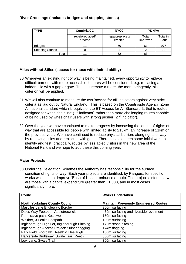# **River Crossings (includes bridges and stepping stones)**

| <b>TYPE</b>            | <b>Cumbria CC</b>           | <b>NYCC</b>                 | <b>YDNPA</b>      |                  |
|------------------------|-----------------------------|-----------------------------|-------------------|------------------|
|                        | repair/replaced/<br>erected | repair/replaced/<br>erected | Total<br>improved | Total in<br>Park |
| <b>Bridges</b>         |                             | 50                          | 61                | 977              |
| <b>Stepping Stones</b> |                             |                             |                   | 33               |
| Гotal                  |                             | 52                          | 63                |                  |

# **Miles without Stiles (access for those with limited ability)**

- 30.Wherever an existing right of way is being maintained, every opportunity to replace difficult barriers with more accessible features will be considered, e.g. replacing a ladder stile with a gap or gate. The less remote a route, the more stringently this criterion will be applied.
- 31.We will also continue to measure the two 'access for all' indicators against very strict criteria as laid out by Natural England. This is based on the Countryside Agency 'Zone A' national standard which is equivalent to BT Access for All Standard 3, that is routes designed for wheelchair use (1<sup>st</sup> indicator) rather than more challenging routes capable of being used by wheelchair users with strong pusher (2<sup>nd</sup> indicator).
- 32.Over the year we have continued to make progress by increasing the length of rights of way that are accessible for people with limited ability to 215km, an increase of 11km on the previous year. We have continued to reduce physical barriers along rights of way by removing stiles and replacing with gates. There has also been some initial work to identify and test, practically, routes by less abled visitors in the new area of the National Park and we hope to add these this coming year.

# **Major Projects**

33.Under the Delegation Schemes the Authority has responsibility for the surface condition of rights of way. Each year projects are identified, by Rangers, for specific works which either improve 'Ease of Use' or enhance a route. The projects listed below are those with a capital expenditure greater than £1,000, and in most cases significantly more.

| <b>Route</b>                                 | <b>Works Undertaken</b>                      |
|----------------------------------------------|----------------------------------------------|
|                                              |                                              |
| <b>North Yorkshire County Council</b>        | <b>Maintain Previously Engineered Routes</b> |
| Mastilles Lane Bridleway, Bordley            | 200m surfacing                               |
| Dales Way Footpath, Appletreewick            | 50m surfacing and riverside revetment        |
| Permissive path, Kettlewell                  | 150m surfacing                               |
| Whitber, 3 Peaks Footpath                    | 100m surfacing                               |
| Ingleborough High Lot, Ingleborough Pitching | 172m stone pitching                          |
| Ingleborough Access Project: Sulber flagging | 174m flagging                                |
| Park Field, Footpath Reeth & Healaugh        | 100m surfacing                               |
| Harkerside Bridleway, Swale Trail, Reeth     | 500m surfacing                               |
| Low Lane, Swale Trail                        | 300m surfacing                               |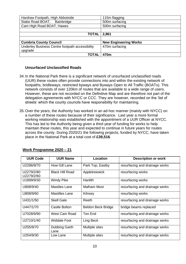| Hardraw Footpath, High Abbotside                | 115m flagging                |
|-------------------------------------------------|------------------------------|
| Stake Road BOAT, Bainbridge                     | 500m surfacing               |
| Cam High Road BOAT, Hawes                       | 500m surfacing               |
|                                                 |                              |
| <b>TOTAL</b>                                    | 2,861                        |
|                                                 |                              |
| <b>Cumbria County Council</b>                   | <b>New Engineering Works</b> |
| Underley Business Centre footpath accessibility | 470m surfacing               |
| upgrade                                         |                              |
| ΤΟΤΑΙ                                           | 470m                         |

#### **Unsurfaced Unclassified Roads**

- 34.In the National Park there is a significant network of unsurfaced unclassified roads (UUR) these routes often provide connections into and within the existing network of footpaths, bridleways, restricted byways and Byways Open to All Traffic (BOATs). This network consists of over 120km of routes that are available to a wide range of users. However, these are not recorded on the Definitive Map and are therefore not part of the delegation agreements with NYCC or CCC. They are however, recorded on the 'list of streets' which the county councils have responsibility for maintaining.
- 35.Over the years, the Authority has worked in an ad-hoc manner (mainly with NYCC) on a number of these routes because of their significance. Last year a more formal working relationship was established with the appointment of a UUR Officer at NYCC. This has led to the Authority being given a third year of funding for works to help maintain these routes, this year and expected to continue in future years for routes across the county. During 2020/21 the following projects, funded by NYCC, have taken place in the National Park at a total cost of **£39,516**.

| <b>UUR Code</b>          | <b>UUR Name</b>        | Location                  | <b>Description or work</b>     |
|--------------------------|------------------------|---------------------------|--------------------------------|
| U2286/9/70               | How Gill Lane          | Park Top, Eastby          | resurfacing and drainage works |
| U2279/2/80<br>U2279/2/60 | <b>Black Hill Road</b> | Appletreewick             | resurfacing works              |
| U1899/9/30               | <b>Windy Pike</b>      | Hanlith                   | resurfacing works              |
| U808/9/40                | Mastiles Lane          | Malham Moor               | resurfacing and drainage works |
| U808/9/60                | Mastilles Lane         | Kilnsey                   | resurfacing works              |
| U431/1/50                | <b>Skell Gate</b>      | Reeth                     | resurfacing and drainage works |
| U447/1/70                | Castle Bolton          | <b>Beldon Beck Bridge</b> | bridge beams replaced          |
| U7028/9/90               | West Cam Road          | Ten End                   | resurfacing and drainage works |
| U2710/1/40               | <b>Widdale Foot</b>    | Ling Beck                 | resurfacing and drainage works |
| U255/9/70                | Dubbing Garth<br>Lane  | Multiple sites            | resurfacing and drainage works |
| U254/9/30                | Low Lane               | Multiple sites            | resurfacing and drainage works |

# **Work Programme 2020 – 21**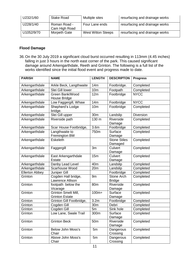| U232/1/60  | <b>Stake Road</b>             | Multiple sites            | resurfacing and drainage works |
|------------|-------------------------------|---------------------------|--------------------------------|
| U228/1/40  | Roman Road -<br>Cam High Road | Four Lane ends            | resurfacing and drainage works |
| U1052/9/70 | Morpeth Gate                  | <b>West Witton Steeps</b> | resurfacing and drainage works |

# **Flood Damage**

36.On the 30 July 2019 a significant cloud burst occurred resulting in 113mm (4.45 inches) falling in just 3 hours in the north east corner of the park. This caused significant damage around Arkengarthdale, Reeth and Grinton. The following is a full list of the works identified since the initial flood event and progress made to date.

| <b>PARISH</b>         | <b>NAME</b>                                  | <b>LENGTH</b>    | <b>DESCRIPTON</b>                  | <b>Progress</b>  |
|-----------------------|----------------------------------------------|------------------|------------------------------------|------------------|
| Arkengarthdale        | Arkle Beck, Langthwaite                      | 14m              | Footbridge.                        | Completed        |
| Arkengarthdale        | Slei Gill lower                              | 10 <sub>m</sub>  | Footpath                           | Completed        |
| Arkengarthdale        | Green Bank/Wood<br>House Bridge              | 12m              | Footbridge                         | NYCC             |
| Arkengarthdale        | Low Faggergill, Whaw                         | 14m              | Footbridge                         | <b>NYCC</b>      |
| Arkengarthdale        | Shepherd's Lodge<br>bridge.                  | 10 <sub>m</sub>  | Footbridge                         | Completed        |
| Arkengarthdale        | Slei Gill upper                              | 30m              | Landslip                           | <b>Diversion</b> |
| Arkengarthdale        | Riverside path                               | 130 m            | Riverside<br>Damage                | Completed        |
| Arkengarthdale        | Scar House Footbridge,                       | 3.6 <sub>m</sub> | Footbridge                         | Completed        |
| Arkengarthdale        | Langthwaite to<br>Fremington BW              | 750m             | Surface<br>Damage                  | Completed        |
| Arkengarthdale        | <b>Eskeleth</b>                              |                  | <b>Stone Stiles</b><br>Damaged     | Completed        |
| Arkengarthdale        | Faggergill                                   | 3m               | Culvert<br>Damage                  | Completed        |
| Arkengarthdale        | East Arkengarthdale<br><b>Estate</b>         | 15m              | Culvert<br>Damage                  | Completed        |
| Arkengarthdale        | Danby Lead Level                             | 40 <sub>m</sub>  | Landslip                           | Completed        |
| Arkengarthdale        | Scarhouse Wood                               | 20m              | Landslip                           | Completed        |
| <b>Ellerton Abbey</b> | Juniper Gill                                 |                  | Footbridge                         | Completed        |
| Grinton               | Cogden Hall bridge,<br>Lawrence Allison      | 9m               | <b>Stone Arch</b><br><b>Bridge</b> | Completed        |
| Grinton               | footpath below the<br>Vicarage               | 80 <sub>m</sub>  | Riverside<br>Damage                | Completed        |
| Grinton               | Grinton Smelt Mill,<br><b>Grinton Estate</b> | $100m+$          | Surface<br>Damage                  | Completed        |
| Grinton               | Grinton Gill Footbridge,                     | 3.2 <sub>m</sub> | Footbridge                         | Completed        |
| Grinton               | Cogden Gill                                  | 30m              | Debri                              | Completed        |
| Grinton               | Cogden Gill                                  | 5m               | Sink hole                          | Completed        |
| Grinton               | Low Lane, Swale Trail                        | 300m             | Surface<br>Damage                  | Completed        |
| Grinton               | <b>Grinton Beck</b>                          | 50 <sub>m</sub>  | Riverside<br>Damage                | Completed        |
| Grinton               | Below John Moss's<br>Chair                   | 5m               | Dangerous<br>Crossing              | Completed        |
| Grinton               | Above John Moss's<br>Chair                   | 5m               | Dangerous<br>Crossing              | Completed        |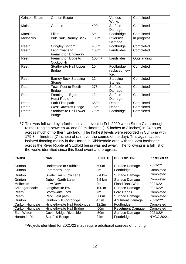| <b>Grinton Estate</b> | <b>Grinton Estate</b>                          |                  | Various<br><b>Works</b>            | Completed   |
|-----------------------|------------------------------------------------|------------------|------------------------------------|-------------|
| Malham                | Gordale                                        | 400m             | Surface<br>Damage                  | Completed   |
| Marske                | <b>Ellers</b>                                  | 5m               | Footbridge                         | Completed   |
| <b>Melbecks</b>       | <b>Birk Park, Barney Beck</b>                  | 100m             | Riverside<br>Damage                | In progress |
| Reeth                 | <b>Cringley Bottom</b>                         | 4.5 <sub>m</sub> | Footbridge                         | Completed   |
| Reeth                 | Langthwaite to<br>Fremington Bridleway         | 100m             | Landslides                         | Completed   |
| Reeth                 | Fremington Edge to<br>Cuckoo Hill              | $100m+$          | Landslides                         | Outstanding |
| Reeth                 | <b>Storthwaite Hall Upper</b><br><b>Bridge</b> | 10 <sub>m</sub>  | Footbridge<br>replaced new<br>ford | Completed   |
| Reeth                 | <b>Barney Beck Stepping</b><br><b>Stones</b>   | 12m              | Stepping<br><b>Stones</b>          | Completed   |
| Reeth                 | Town Foot to Reeth<br><b>Bridge</b>            | 275m             | Surface<br>Damage                  | Completed   |
| Reeth                 | Fremington Egde -<br><b>Hurst Route</b>        | 12m              | Surface<br>Damage                  | Completed   |
| Reeth                 | Park Field path                                | 650m             | <b>Debris</b>                      | Completed   |
| Reeth                 | <b>West Rawcroft Bridge</b>                    | 15m              | <b>Debris</b>                      | Completed   |
| Reeth                 | <b>Storthwaite Hall Lower</b><br><b>Bridge</b> | 7.5m             | Footbridge                         | Completed   |

37.This was followed by a further isolated event in Feb 2020 when Storm Ciara brought rainfall ranging between 40 and 80 millimetres (1.5 inches to 3 inches) in 24 hours across much of northern England. (The highest levels were recorded in Cumbria with 179.8 millimetres (7 inches) of rain over the course of the day). This again caused isolated flooding mainly in the Horton in Ribblesdale area with the 22m footbridge across the River Ribble at Studfold being washed away. The following is a full list of the works identified since this flood event and progress:

| <b>PARISH</b>      | <b>NAME</b>                    | <b>LENGTH</b>   | <b>DESCRIPTON</b>  | <b>PPROGRESS</b>  |
|--------------------|--------------------------------|-----------------|--------------------|-------------------|
| Grinton            | Harkerside to Stubbins         | 500m            | Surface Damage     | 2021/22           |
| Grinton            | Foreman's Leap                 | 3m              | Footbridge         | Completed         |
| Grinton            | Swale Trail - Low Lane         | 2.4 km          | Surface Damage     | Completed         |
| Grinton            | <b>Dubbin Garth Lane</b>       | 2.5 km          | Surface Damage     | Completed         |
| <b>Melbecks</b>    | Low Row                        | 8m              | Flood Bank/Wall    | 2021/22           |
| Arkengarthdale     | Langthwaite BW                 | 100 m           | Surface Damage     | 2021/22*          |
| Reeth              | <b>Storthwaite Ford</b>        | $7m +$          | <b>Ford Repair</b> | Completed         |
| Reeth              | Park Field path                | 500m            | Surface Damage     | Completed         |
| Grinton            | <b>Grinton Gill Footbridge</b> | 4.5m            | Abutment Damage    | 2021/22*          |
| Carlton Highdale   | Hindlethwaite Hall Footbridge  | 12.2m           | Footbridge         | Completed         |
| Carlton Highdale   | Hindlethwaite Hall Bridge      | 50 <sub>m</sub> | Revetment Damage   | Completed         |
| <b>East Witton</b> | <b>Cover Bridge Riverside</b>  | 50 <sub>m</sub> | Surface Damage     | 2021/22*          |
| Horton in Ribb     | <b>Studfold Bridge</b>         | 24m             | Footbridge         | <b>NYCC 20/21</b> |

\*Projects identified for 2021/22 may require additional sources of funding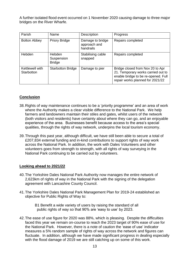A further isolated flood event occurred on 1 November 2020 causing damage to three major bridges on the River Wharfe.

| Parish                        | Name                                  | Description                                   | Progress                                                                                                                                          |
|-------------------------------|---------------------------------------|-----------------------------------------------|---------------------------------------------------------------------------------------------------------------------------------------------------|
| <b>Bolton Abbey</b>           | <b>Priory Bridge</b>                  | Damage to bridge<br>approach and<br>handrails | Repairs completed                                                                                                                                 |
| Hebden                        | Hebden<br>Suspension<br><b>Bridge</b> | Stabilising cable<br>snapped                  | Repairs completed                                                                                                                                 |
| Kettlewell with<br>Starbotton | <b>Starbotton Bridge</b>              | Damage to pier                                | Bridge closed from Nov 20 to Apr<br>21. Temporary works carried out to<br>enable bridge to be re-opened. Full<br>repair works planned for 2021/22 |

# **Conclusion**

- 38.Rights of way maintenance continues to be a 'priority programme' and an area of work where the Authority makes a clear visible difference to the National Park. We help farmers and landowners maintain their stiles and gates, whilst users of the network (both visitors and residents) have certainty about where they can go, and an enjoyable experience of the area. Businesses benefit because access to the area's special qualities, through the rights of way network, underpins the local tourism economy.
- 39.Through this past year, although difficult, we have still been able to secure a total of £207,834 external funding and in-kind contributions to support rights of way work across the National Park. In addition, the work with Dales Volunteers and other volunteers goes from strength to strength, with all rights of way surveying in the National Park continuing to be carried out by volunteers.

# **Looking ahead to 2021/22**

- 40.The Yorkshire Dales National Park Authority now manages the entire network of 2,623km of rights of way in the National Park with the signing of the delegation agreement with Lancashire County Council.
- 41.The Yorkshire Dales National Park Management Plan for 2019-24 established an objective for Public Rights of Way to:

 B1 Benefit a wide variety of users by raising the standard of all public rights of way so that 90% are 'easy to use' by 2023.

42.The ease of use figure for 2020 was 88%, which is pleasing. Despite the difficulties faced this year we remain on-course to reach the 2023 target of 90% ease of use for the National Park. However, there is a note of caution the 'ease of use' indicator measures a 5% random sample of rights of way across the network and figures can fluctuate. In addition, although we have made significant progress in dealing especially with the flood damage of 2019 we are still catching up on some of this work.